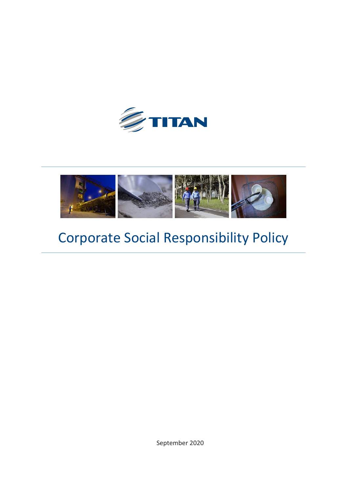



# Corporate Social Responsibility Policy

September 2020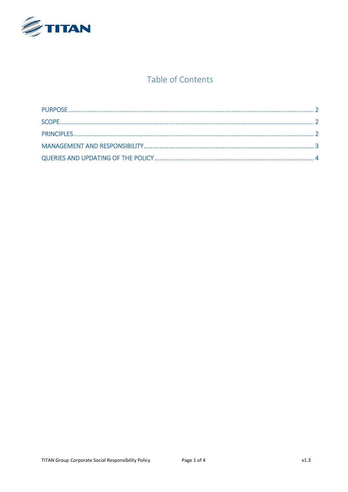

#### Table of Contents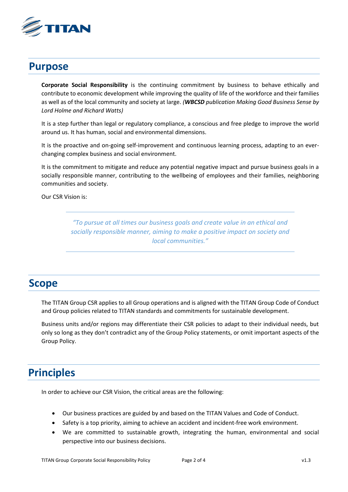

#### <span id="page-2-0"></span>**Purpose**

**Corporate Social Responsibility** is the continuing commitment by business to behave ethically and contribute to economic development while improving the quality of life of the workforce and their families as well as of the local community and society at large. *(WBCSD publication Making Good Business Sense by Lord Holme and Richard Watts)*

It is a step further than legal or regulatory compliance, a conscious and free pledge to improve the world around us. It has human, social and environmental dimensions.

It is the proactive and on-going self-improvement and continuous learning process, adapting to an everchanging complex business and social environment.

It is the commitment to mitigate and reduce any potential negative impact and pursue business goals in a socially responsible manner, contributing to the wellbeing of employees and their families, neighboring communities and society.

Our CSR Vision is:

*"To pursue at all times our business goals and create value in an ethical and socially responsible manner, aiming to make a positive impact on society and local communities."*

#### <span id="page-2-1"></span>**Scope**

The TITAN Group CSR applies to all Group operations and is aligned with the TITAN Group Code of Conduct and Group policies related to TITAN standards and commitments for sustainable development.

Business units and/or regions may differentiate their CSR policies to adapt to their individual needs, but only so long as they don't contradict any of the Group Policy statements, or omit important aspects of the Group Policy.

## <span id="page-2-2"></span>**Principles**

In order to achieve our CSR Vision, the critical areas are the following:

- Our business practices are guided by and based on the TITAN Values and Code of Conduct.
- Safety is a top priority, aiming to achieve an accident and incident-free work environment.
- We are committed to sustainable growth, integrating the human, environmental and social perspective into our business decisions.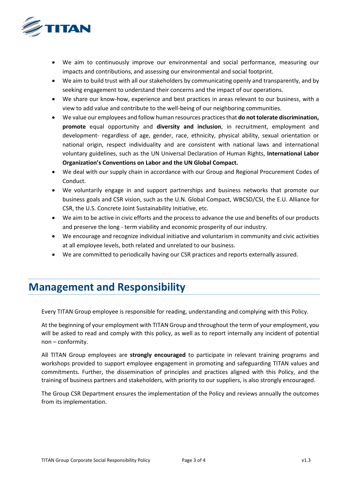

- We aim to continuously improve our environmental and social performance, measuring our impacts and contributions, and assessing our environmental and social footprint.
- We aim to build trust with all our stakeholders by communicating openly and transparently, and by seeking engagement to understand their concerns and the impact of our operations.
- We share our know-how, experience and best practices in areas relevant to our business, with a view to add value and contribute to the well-being of our neighboring communities.
- We value our employees and follow human resources practices that **do not tolerate discrimination, promote** equal opportunity and **diversity and inclusion**, in recruitment, employment and development- regardless of age, gender, race, ethnicity, physical ability, sexual orientation or national origin, respect individuality and are consistent with national laws and international voluntary guidelines, such as the UN Universal Declaration of Human Rights, **International Labor Organization's Conventions on Labor and the UN Global Compact.**
- We deal with our supply chain in accordance with our Group and Regional Procurement Codes of Conduct.
- We voluntarily engage in and support partnerships and business networks that promote our business goals and CSR vision, such as the U.N. Global Compact, WBCSD/CSI, the E.U. Alliance for CSR, the U.S. Concrete Joint Sustainability Initiative, etc.
- We aim to be active in civic efforts and the process to advance the use and benefits of our products and preserve the long - term viability and economic prosperity of our industry.
- We encourage and recognize individual initiative and voluntarism in community and civic activities at all employee levels, both related and unrelated to our business.
- We are committed to periodically having our CSR practices and reports externally assured.

## <span id="page-3-0"></span>**Management and Responsibility**

Every TITAN Group employee is responsible for reading, understanding and complying with this Policy.

At the beginning of your employment with TITAN Group and throughout the term of your employment, you will be asked to read and comply with this policy, as well as to report internally any incident of potential non – conformity.

All TITAN Group employees are **strongly encouraged** to participate in relevant training programs and workshops provided to support employee engagement in promoting and safeguarding TITAN values and commitments. Further, the dissemination of principles and practices aligned with this Policy, and the training of business partners and stakeholders, with priority to our suppliers, is also strongly encouraged.

The Group CSR Department ensures the implementation of the Policy and reviews annually the outcomes from its implementation.